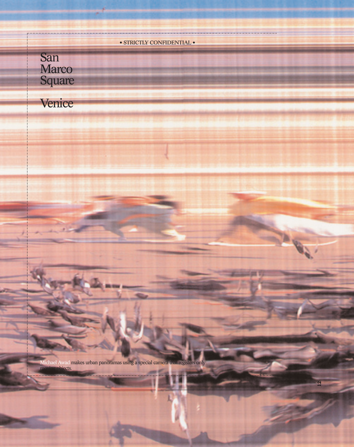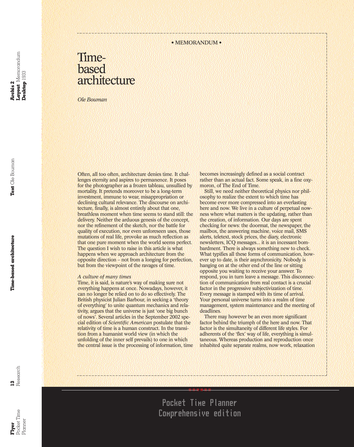# Timebased architecture

*Ole Bouman*

Often, all too often, architecture denies time. It challenges eternity and aspires to permanence. It poses for the photographer as a frozen tableau, unsullied by mortality. It pretends moreover to be a long-term investment, immune to wear, misappropriation or declining cultural relevance. The discourse on architecture, finally, is almost entirely about that one, breathless moment when time seems to stand still: the delivery. Neither the arduous genesis of the concept, nor the refinement of the sketch, nor the battle for quality of execution, nor even unforeseen uses, those mutations of real life, provoke as much reflection as that one pure moment when the world seems perfect. The question I wish to raise in this article is what happens when we approach architecture from the opposite direction – not from a longing for perfection, but from the viewpoint of the ravages of time.

### *A culture of many times*

Time, it is said, is nature's way of making sure not everything happens at once. Nowadays, however, it can no longer be relied on to do so effectively. The British physicist Julian Barbour, in seeking a 'theory of everything' to unite quantum mechanics and relativity, argues that the universe is just 'one big bunch of nows'. Several articles in the September 2002 special edition of *Scientific American* postulate that the relativity of time is a human construct. In the transition from a humanist world view (in which the unfolding of the inner self prevails) to one in which the central issue is the processing of information, time becomes increasingly defined as a social contract rather than an actual fact. Some speak, in a fine oxymoron, of The End of Time.

Still, we need neither theoretical physics nor philosophy to realize the extent to which time has become ever more compressed into an everlasting here and now. We live in a culture of perpetual nowness where what matters is the updating, rather than the creation, of information. Our days are spent checking for news: the doormat, the newspaper, the mailbox, the answering machine, voice mail, SMS alerts, teletext, stock prices, the diary, electronic newsletters, ICQ messages... it is an incessant bombardment. There is always something new to check. What typifies all these forms of communication, however up to date, is their asynchronicity. Nobody is hanging on at the other end of the line or sitting opposite you waiting to receive your answer. To respond, you in turn leave a message. This disconnection of communication from real contact is a crucial factor in the progressive subjectivization of time. Every message is stamped with its time of arrival. Your personal universe turns into a realm of time management, system maintenance and the meeting of deadlines.

There may however be an even more significant factor behind the triumph of the here and now. That factor is the simultaneity of different life styles. For adherents of the 'flex' way of life, everything is simultaneous. Whereas production and reproduction once inhabited quite separate realms, now work, relaxation

\*\*\*\*\*

**Exet** Time Pocket Time lanner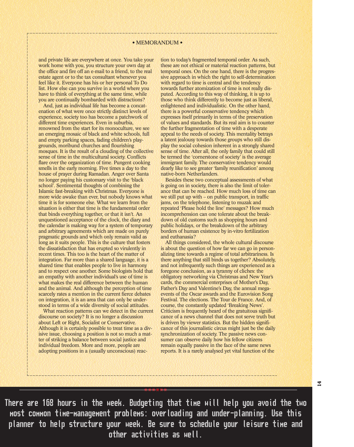### • MEMORANDUM •

and private life are everywhere at once. You take your work home with you, you structure your own day at the office and fire off an e-mail to a friend, to the real estate agent or to the tax consultant whenever you feel like it. Everyone has his or her personal To Do list. How else can you survive in a world where you have to think of everything at the same time, while you are continually bombarded with distractions?

And, just as individual life has become a concatenation of what were once strictly distinct levels of experience, society too has become a patchwork of different time experiences. Even in suburbia, renowned from the start for its monoculture, we see an emerging mosaic of black and white schools, full and empty parking spaces, fading children's playgrounds, moribund churches and flourishing mosques. It is the result of a clouding of the collective sense of time in the multicultural society. Conflicts flare over the organization of time. Pungent cooking smells in the early morning. Five times a day to the house of prayer during Ramadan. Anger over Santa no longer paying his customary visit to the 'black school'. Sentimental thoughts of combining the Islamic fast-breaking with Christmas. Everyone is more wide awake than ever, but nobody knows what time it is for someone else. What we learn from the situation is either that time is the fundamental order that binds everything together, or that it isn't. An unquestioned acceptance of the clock, the diary and the calendar is making way for a system of temporary and arbitrary agreements which are made on purely pragmatic grounds and which only remain valid as long as it suits people. This is the culture that fosters the dissatisfaction that has erupted so virulently in recent times. This too is the heart of the matter of integration. Far more than a shared language, it is a shared time that enables people to live in harmony and to respect one another. Some biologists hold that an empathy with another individual's use of time is what makes the real difference between the human and the animal. And although the perception of time scarcely rates a mention in the current fierce debates on integration, it is an area that can only be understood in terms of a wide diversity of social attitudes.

What reaction patterns can we detect in the current discourse on society? It is no longer a discussion about Left or Right, Socialist or Conservative. Although it is certainly possible to treat time as a divisive issue, choosing a position is not so much a matter of striking a balance between social justice and individual freedom. More and more, people are adopting positions in a (usually unconscious) reaction to today's fragmented temporal order. As such, these are not ethical or material reaction patterns, but temporal ones. On the one hand, there is the progressive approach in which the right to self-determination with regard to time is central and the tendency towards further atomization of time is not really disputed. According to this way of thinking, it is up to those who think differently to become just as liberal, enlightened and individualistic. On the other hand, there is a powerful conservative tendency which expresses itself primarily in terms of the preservation of values and standards. But its real aim is to counter the further fragmentation of time with a desperate appeal to the needs of society. This mentality betrays a latent jealousy towards those groups who still display the social cohesion inherent in a strongly shared sense of time. After all, the only family that could still be termed the 'cornerstone of society' is the average immigrant family. The conservative tendency would dearly like to see greater 'family reunification' among native-born Netherlanders.

Besides these two conceptual assessments of what is going on in society, there is also the limit of tolerance that can be reached. How much loss of time can we still put up with – on public transport, in traffic jams, on the telephone, listening to muzak and repeated 'Please hold the line' messages? How much incomprehension can one tolerate about the breakdown of old customs such as shopping hours and public holidays, or the breakdown of the arbitrary borders of human existence by in-vitro fertilization and euthanasia?

All things considered, the whole cultural discourse is about the question of how far we can go in personalizing time towards a regime of total arbitrariness. Is there anything that still binds us together? Absolutely, and not infrequently such things are experienced as a foregone conclusion, as a tyranny of cliches: the obligatory networking via Christmas and New Year's cards, the commercial enterprises of Mother's Day, Father's Day and Valentine's Day, the annual megaevents of the Oscar awards and the Eurovision Song Festival. The elections. The Tour de France. And, of course, the constantly updated 'Breaking News'. Criticism is frequently heard of the gratuitous significance of a news channel that does not serve truth but is driven by viewer statistics. But the hidden significance of this journalistic circus might just be the daily synchronization of society. The passive news consumer can observe daily how his fellow citizens remain equally passive in the face of the same news reports. It is a rarely analysed yet vital function of the

**14**

\*\*\*\*\*\* There are 168 hours in the week. Budgeting that time will help you avoid the two most common time-management problems: overloading and under-planning. Use this planner to help structure your week. Be sure to schedule your leisure time and other activities as well.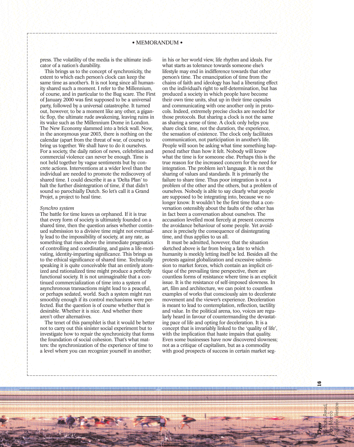press. The volatility of the media is the ultimate indicator of a nation's durability.

This brings us to the concept of synchronicity, the extent to which each person's clock can keep the same time as another's. It is not long since all humanity shared such a moment. I refer to the Millennium, of course, and in particular to the Bug scare. The First of January 2000 was first supposed to be a universal party, followed by a universal catastrophe. It turned out, however, to be a moment like any other, a gigantic flop, the ultimate rude awakening, leaving ruins in its wake such as the Millennium Dome in London. The New Economy slammed into a brick wall. Now, in the anonymous year 2003, there is nothing on the calendar (apart from the threat of war, of course) to bring us together. We shall have to do it ourselves. For a society, the daily ration of news, celebrities and commercial violence can never be enough. Time is not held together by vague sentiments but by concrete actions. Interventions at a wider level than the individual are needed to promote the rediscovery of shared time. I could describe it as a 'Delta Plan' to halt the further disintegration of time, if that didn't sound so parochially Dutch. So let's call it a Grand Projet, a project to heal time.

### *Synchro system*

The battle for time leaves us orphaned. If it is true that every form of society is ultimately founded on a shared time, then the question arises whether continued submission to a divisive time might not eventually lead to the impossibility of society, at any rate, as something that rises above the immediate pragmatics of controlling and coordinating, and gains a life-motivating, identity-imparting significance. This brings us to the ethical significance of shared time. Technically speaking it is quite conceivable that an entirely atomized and rationalized time might produce a perfectly functional society. It is not unimaginable that a continued commercialization of time into a system of asynchronous transactions might lead to a peaceful, or perhaps sedated, world. Such a system might run smoothly enough if its control mechanisms were perfected. But the question is of course whether that is desirable. Whether it is nice. And whether there aren't other alternatives.

The tenet of this pamphlet is that it would be better not to carry out this sinister social experiment but to investigate how to repair the synchronicity that forms the foundation of social cohesion. That's what matters: the synchronization of the experience of time to a level where you can recognize yourself in another;

in his or her world view, life rhythm and ideals. For what starts as tolerance towards someone else's lifestyle may end in indifference towards that other person's time. The emancipation of time from the chains of faith and ideology has had a liberating effect on the individual's right to self-determination, but has produced a society in which people have become their own time units, shut up in their time capsules and communicating with one another only in protocols. Indeed, extremely precise clocks are needed for those protocols. But sharing a clock is not the same as sharing a sense of time. A clock only helps you share clock time, not the duration, the experience, the sensation of existence. The clock only facilitates communication, not participation in another's life. People will soon be asking what time something happened rather than how it felt. Nobody will know what the time is for someone else. Perhaps this is the true reason for the increased concern for the need for integration. The problem isn't language. It is not the sharing of values and standards. It is primarily the failure to share time. Thus poor integration is not a problem of the other and the others, but a problem of ourselves. Nobody is able to say clearly what people are supposed to be integrating into, because we no longer know. It wouldn't be the first time that a conversation ostensibly about the faults of the other has in fact been a conversation about ourselves. The accusation levelled most fiercely at present concerns the avoidance behaviour of some people. Yet avoidance is precisely the consequence of disintegrating time, and thus applies to us all.

It must be admitted, however, that the situation sketched above is far from being a fate to which humanity is meekly letting itself be led. Besides all the protests against globalization and excessive submission to market forces, which contain an implicit critique of the prevailing time perspective, there are countless forms of resistance where time is an explicit issue. It is the resistance of self-imposed slowness. In art, film and architecture, we can point to countless examples of works that consciously aim to decelerate movement and the viewer's experience. Deceleration is meant to lead to contemplation, reflection, tactility and value. In the political arena, too, voices are regularly heard in favour of countermanding the devastating pace of life and opting for deceleration. It is a concept that is invariably linked to the 'quality of life', with the implication that haste impairs that quality. Even some businesses have now discovered slowness; not as a critique of capitalism, but as a commodity with good prospects of success in certain market seg-

**Flyer** Michael Awad, San Marco Square, Venice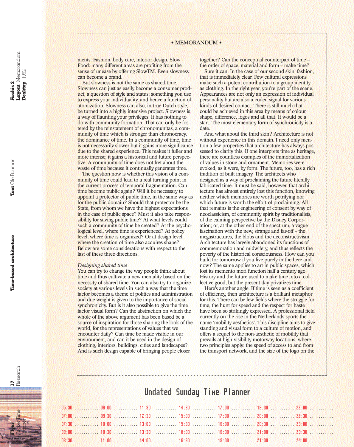ments. Fashion, body care, interior design, Slow Food: many different areas are profiting from the sense of unease by offering SlowTM. Even slowness can become a brand.

But slowness is not the same as shared time. Slowness can just as easily become a consumer product, a question of style and status; something you use to express your individuality, and hence a function of atomization. Slowness can also, in true Dutch style, be turned into a highly intensive project. Slowness is a way of flaunting your privileges. It has nothing to do with community formation. That can only be fostered by the reinstatement of chronomunitas, a community of time which is stronger than chronocracy, the dominance of time. In a community of time, time is not necessarily slower but it gains more significance due to the shared experience. This makes it fuller and more intense; it gains a historical and future perspective. A community of time does not fret about the waste of time because it continually generates time.

The question now is whether this vision of a community of time could lead to a real turning point in the current process of temporal fragmentation. Can time become public again? Will it be necessary to appoint a protector of public time, in the same way as for the public domain? Should that protector be the State, from whom we have the highest expectations in the case of public space? Must it also take responsibility for saving public time? At what levels could such a community of time be created? At the psychological level, where time is experienced? At policy level, where time is organized? Or at design level, where the creation of time also acquires shape? Below are some considerations with respect to the last of these three directions.

### *Designing shared time*

You can try to change the way people think about time and thus cultivate a new mentality based on the necessity of shared time. You can also try to organize society at various levels in such a way that the time factor becomes a theme of politics and administration and due weight is given to the importance of social synchronicity. But is it also possible to give the time factor visual form? Can the abstraction on which the whole of the above argument has been based be a source of inspiration for those shaping the look of the world, for the representations of values that we encounter daily? Can time be made visible in our environment, and can it be used in the design of clothing, interiors, buildings, cities and landscapes? And is such design capable of bringing people closer

together? Can the conceptual counterpart of time – the order of space, material and form – make time?

Sure it can. In the case of our second skin, fashion, that is immediately clear. Few cultural expressions make such a potent contribution to a group identity as clothing. In the right gear, you're part of the scene. Appearances are not only an expression of individual personality but are also a coded signal for various kinds of desired contact. There is still much that could be achieved in this area by means of colour, shape, difference, logos and all that. It would be a start. The most elementary form of synchronicity is a date.

And what about the third skin? Architecture is not without experience in this domain. I need only mention a few properties that architecture has always possessed to clarify this. If one interprets time as heritage, there are countless examples of the immortalization of values in stone and ornament. Memories were evoked, as it were, by form. The future, too, has a rich tradition of built imagery. The architects who designed as a way of proclaiming the future literally fabricated time. It must be said, however, that architecture has almost entirely lost this function, knowing neither which memories are worth petrifying nor which future is worth the effort of proclaiming. All that remains is the engineering of consent by way of neoclassicism, of community spirit by traditionalists, of the calming perspective by the Disney Corporation; or, at the other end of the spectrum, a vague fascination with the new, strange and far-off – the megastructures, the blobs and the deconstructivism. Architecture has largely abandoned its functions of commemoration and midwifery, and thus reflects the poverty of the historical consciousness. How can you build for tomorrow if you live purely in the here and now? The same applies to art in public spaces, which lost its memento mori function half a century ago. History and the future used to make time into a collective good, but the present day privatizes time.

Here's another angle. If time is seen as a coefficient of efficiency, then architecture is a brilliant metaphor for this. There can be few fields where the struggle for time, the hunt for speed and the respect for haste have been so strikingly expressed. A professional field currently on the rise in the Netherlands sports the name 'mobility aesthetics'. This discipline aims to give standing and visual form to a culture of motion, and offers a sequel to the non-aesthetic of mobility that prevails at high-visibility motorway locations, where two principles apply: the speed of access to and from the transport network, and the size of the logo on the

# **Archis 2**<br>Layout Memorandum<br>Desktop 1992 **Layout** Memorandum

**Desktop** 1992

**17** Research



## Undated Sunday Time Planner

|  |  |  | 06:30  09:00  11:30  14:30  17:00  19:30  27:00 |
|--|--|--|-------------------------------------------------|
|  |  |  | 07:00  09:30  12:30  15:00  17:30  20:00  22:30 |
|  |  |  | 07:30  10:00  13:00  15:30  18:00  20:30  23:00 |
|  |  |  |                                                 |
|  |  |  |                                                 |
|  |  |  |                                                 |